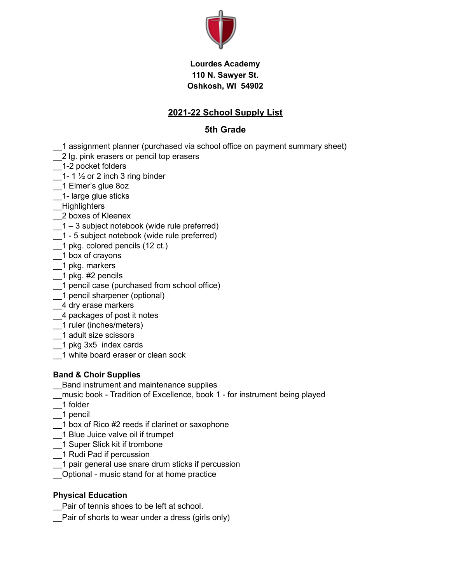

#### **Lourdes Academy 110 N. Sawyer St. Oshkosh, WI 54902**

### **2021-22 School Supply List**

#### **5th Grade**

- \_\_1 assignment planner (purchased via school office on payment summary sheet)
- 2 lg. pink erasers or pencil top erasers
- \_\_1-2 pocket folders
- 1- 1  $\frac{1}{2}$  or 2 inch 3 ring binder
- \_\_1 Elmer's glue 8oz
- \_\_1- large glue sticks
- \_\_Highlighters
- \_\_2 boxes of Kleenex
- $-1 3$  subject notebook (wide rule preferred)
- \_\_1 5 subject notebook (wide rule preferred)
- \_\_1 pkg. colored pencils (12 ct.)
- \_\_1 box of crayons
- \_\_1 pkg. markers
- 1 pkg. #2 pencils
- \_\_1 pencil case (purchased from school office)
- \_\_1 pencil sharpener (optional)
- \_\_4 dry erase markers
- \_\_4 packages of post it notes
- \_\_1 ruler (inches/meters)
- \_\_1 adult size scissors
- \_\_1 pkg 3x5 index cards
- \_\_1 white board eraser or clean sock

#### **Band & Choir Supplies**

- \_\_Band instrument and maintenance supplies
- \_\_music book Tradition of Excellence, book 1 for instrument being played
- \_\_1 folder
- \_\_1 pencil
- \_\_1 box of Rico #2 reeds if clarinet or saxophone
- \_\_1 Blue Juice valve oil if trumpet
- \_\_1 Super Slick kit if trombone
- \_\_1 Rudi Pad if percussion
- \_\_1 pair general use snare drum sticks if percussion
- \_\_Optional music stand for at home practice

#### **Physical Education**

- Pair of tennis shoes to be left at school.
- \_\_Pair of shorts to wear under a dress (girls only)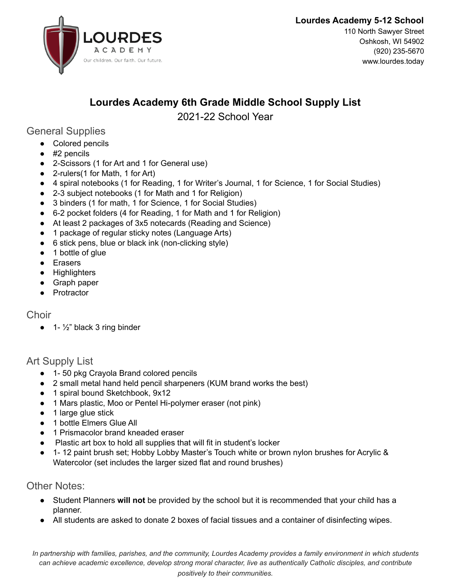



110 North Sawyer Street Oshkosh, WI 54902 (920) 235-5670 www.lourdes.today

# **Lourdes Academy 6th Grade Middle School Supply List**

## 2021-22 School Year

## General Supplies

- Colored pencils
- #2 pencils
- 2-Scissors (1 for Art and 1 for General use)
- 2-rulers(1 for Math, 1 for Art)
- 4 spiral notebooks (1 for Reading, 1 for Writer's Journal, 1 for Science, 1 for Social Studies)
- 2-3 subject notebooks (1 for Math and 1 for Religion)
- 3 binders (1 for math, 1 for Science, 1 for Social Studies)
- 6-2 pocket folders (4 for Reading, 1 for Math and 1 for Religion)
- At least 2 packages of 3x5 notecards (Reading and Science)
- 1 package of regular sticky notes (Language Arts)
- 6 stick pens, blue or black ink (non-clicking style)
- 1 bottle of glue
- Erasers
- Highlighters
- Graph paper
- Protractor

## **Choir**

 $\bullet$  1-  $\frac{1}{2}$ " black 3 ring binder

## Art Supply List

- 1- 50 pkg Crayola Brand colored pencils
- 2 small metal hand held pencil sharpeners (KUM brand works the best)
- 1 spiral bound Sketchbook, 9x12
- 1 Mars plastic, Moo or Pentel Hi-polymer eraser (not pink)
- 1 large glue stick
- 1 bottle Elmers Glue All
- 1 Prismacolor brand kneaded eraser
- Plastic art box to hold all supplies that will fit in student's locker
- 1- 12 paint brush set; Hobby Lobby Master's Touch white or brown nylon brushes for Acrylic & Watercolor (set includes the larger sized flat and round brushes)

## Other Notes:

- Student Planners will not be provided by the school but it is recommended that your child has a planner.
- All students are asked to donate 2 boxes of facial tissues and a container of disinfecting wipes.

*In partnership with families, parishes, and the community, Lourdes Academy provides a family environment in which students can achieve academic excellence, develop strong moral character, live as authentically Catholic disciples, and contribute positively to their communities.*